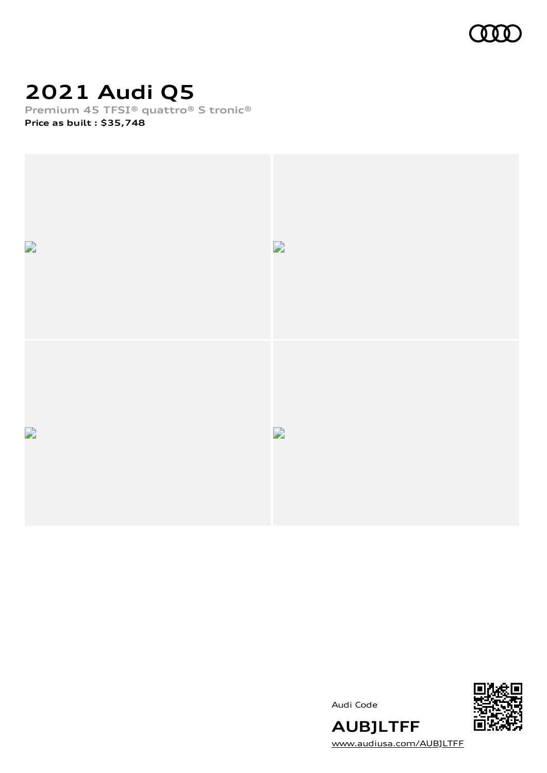

# **2021 Audi Q5**

**Premium 45 TFSI® quattro® S tronic®**

**Price as built [:](#page-9-0) \$35,748**



Audi Code



**AUBJLTFF** [www.audiusa.com/AUBJLTFF](https://www.audiusa.com/AUBJLTFF)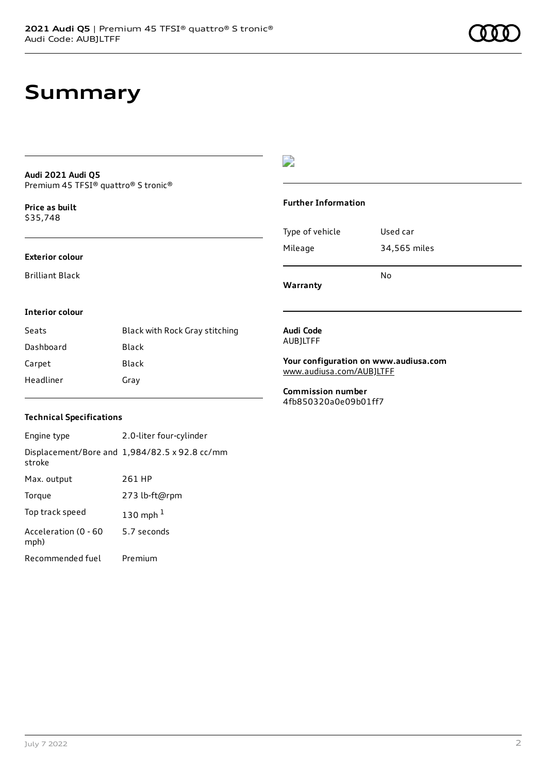# **Summary**

### **Audi 2021 Audi Q5** Premium 45 TFSI® quattro® S tronic®

**Price as buil[t](#page-9-0)** \$35,748

### **Exterior colour**

Brilliant Black

# $\overline{\phantom{a}}$

### **Further Information**

|                 | N٥           |
|-----------------|--------------|
| Mileage         | 34,565 miles |
| Type of vehicle | Used car     |

**Warranty**

### **Interior colour**

| Seats     | Black with Rock Gray stitching |
|-----------|--------------------------------|
| Dashboard | Black                          |
| Carpet    | Black                          |
| Headliner | Gray                           |

#### **Audi Code** AUBJLTFF

**Your configuration on www.audiusa.com** [www.audiusa.com/AUBJLTFF](https://www.audiusa.com/AUBJLTFF)

**Commission number** 4fb850320a0e09b01ff7

## **Technical Specifications**

| Engine type                  | 2.0-liter four-cylinder                       |
|------------------------------|-----------------------------------------------|
| stroke                       | Displacement/Bore and 1,984/82.5 x 92.8 cc/mm |
| Max. output                  | 261 HP                                        |
| Torque                       | 273 lb-ft@rpm                                 |
| Top track speed              | 130 mph $1$                                   |
| Acceleration (0 - 60<br>mph) | 5.7 seconds                                   |
| Recommended fuel             | Premium                                       |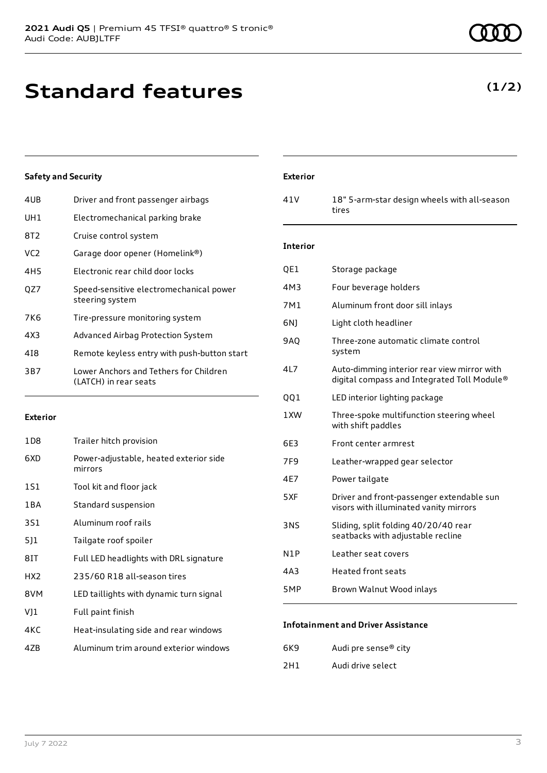# **Standard features**

# **Safety and Security**

| 4UB             | Driver and front passenger airbags                              |
|-----------------|-----------------------------------------------------------------|
| UH1             | Electromechanical parking brake                                 |
| 8T2             | Cruise control system                                           |
| VC <sub>2</sub> | Garage door opener (Homelink®)                                  |
| 4H5             | Electronic rear child door locks                                |
| OZ7             | Speed-sensitive electromechanical power<br>steering system      |
| 7K6             | Tire-pressure monitoring system                                 |
| 4X3             | Advanced Airbag Protection System                               |
| 418             | Remote keyless entry with push-button start                     |
| 3B7             | Lower Anchors and Tethers for Children<br>(LATCH) in rear seats |

### **Exterior**

| 1D <sub>8</sub> | Trailer hitch provision                           |
|-----------------|---------------------------------------------------|
| 6XD             | Power-adjustable, heated exterior side<br>mirrors |
| 1S1             | Tool kit and floor jack                           |
| 1 B A           | Standard suspension                               |
| 3S1             | Aluminum roof rails                               |
| 511             | Tailgate roof spoiler                             |
| 8IT             | Full LED headlights with DRL signature            |
| HX <sub>2</sub> | 235/60 R18 all-season tires                       |
| 8VM             | LED taillights with dynamic turn signal           |
| VJ1             | Full paint finish                                 |
| 4KC             | Heat-insulating side and rear windows             |
| 47B             | Aluminum trim around exterior windows             |

# **Exterior**

41V 18" 5-arm-star design wheels with all-season tires

### **Interior**

| QE1 | Storage package                                                                            |
|-----|--------------------------------------------------------------------------------------------|
| 4M3 | Four beverage holders                                                                      |
| 7M1 | Aluminum front door sill inlays                                                            |
| 6N) | Light cloth headliner                                                                      |
| 9AQ | Three-zone automatic climate control<br>system                                             |
| 4L7 | Auto-dimming interior rear view mirror with<br>digital compass and Integrated Toll Module® |
| QQ1 | LED interior lighting package                                                              |
| 1XW | Three-spoke multifunction steering wheel<br>with shift paddles                             |
| 6E3 | Front center armrest                                                                       |
| 7F9 | Leather-wrapped gear selector                                                              |
| 4E7 | Power tailgate                                                                             |
| 5XF | Driver and front-passenger extendable sun<br>visors with illuminated vanity mirrors        |
| 3NS | Sliding, split folding 40/20/40 rear<br>seatbacks with adjustable recline                  |
| N1P | Leather seat covers                                                                        |
| 4A3 | <b>Heated front seats</b>                                                                  |
| 5MP | Brown Walnut Wood inlays                                                                   |
|     |                                                                                            |

### **Infotainment and Driver Assistance**

| 6K9 | Audi pre sense <sup>®</sup> city |
|-----|----------------------------------|
| 2H1 | Audi drive select                |

# **(1/2)**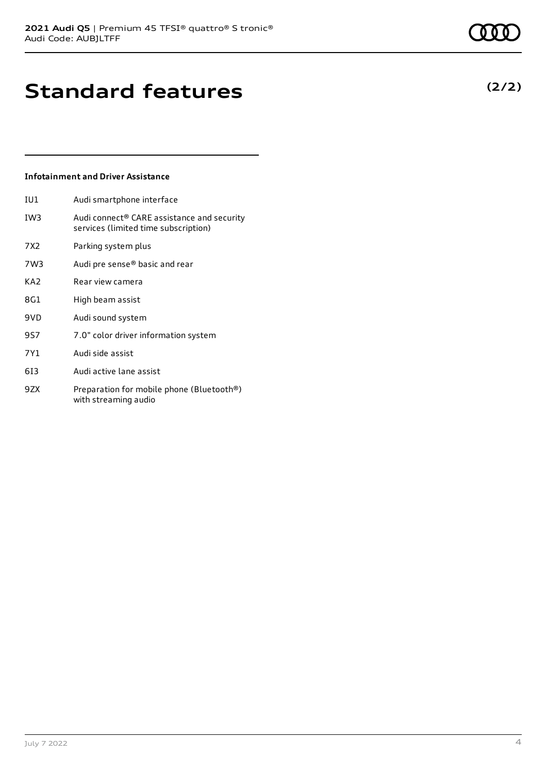# **Standard features**

# **Infotainment and Driver Assistance**

- IU1 Audi smartphone interface IW3 Audi connect® CARE assistance and security services (limited time subscription)
- 7X2 Parking system plus
- 7W3 Audi pre sense® basic and rear
- KA2 Rear view camera
- 8G1 High beam assist
- 9VD Audi sound system
- 9S7 7.0" color driver information system
- 7Y1 Audi side assist
- 6I3 Audi active lane assist
- 9ZX Preparation for mobile phone (Bluetooth®) with streaming audio

# **(2/2)**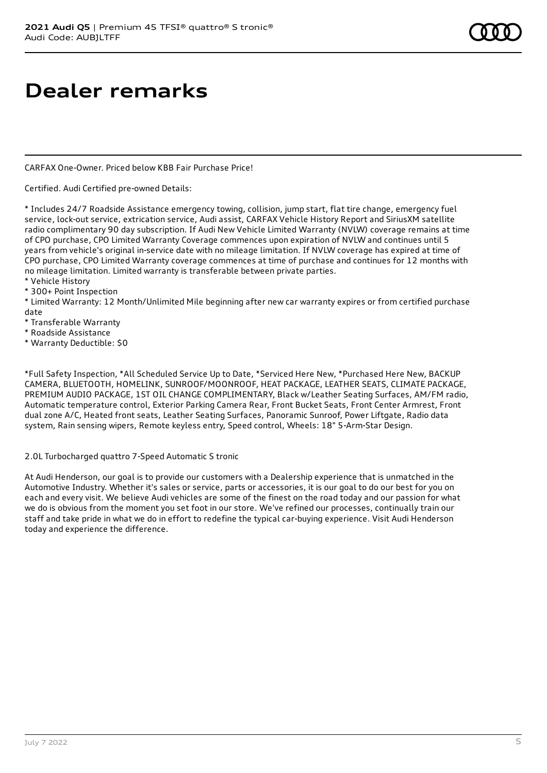# **Dealer remarks**

CARFAX One-Owner. Priced below KBB Fair Purchase Price!

Certified. Audi Certified pre-owned Details:

\* Includes 24/7 Roadside Assistance emergency towing, collision, jump start, flat tire change, emergency fuel service, lock-out service, extrication service, Audi assist, CARFAX Vehicle History Report and SiriusXM satellite radio complimentary 90 day subscription. If Audi New Vehicle Limited Warranty (NVLW) coverage remains at time of CPO purchase, CPO Limited Warranty Coverage commences upon expiration of NVLW and continues until 5 years from vehicle's original in-service date with no mileage limitation. If NVLW coverage has expired at time of CPO purchase, CPO Limited Warranty coverage commences at time of purchase and continues for 12 months with no mileage limitation. Limited warranty is transferable between private parties.

\* Vehicle History

\* 300+ Point Inspection

\* Limited Warranty: 12 Month/Unlimited Mile beginning after new car warranty expires or from certified purchase date

\* Transferable Warranty

\* Roadside Assistance

\* Warranty Deductible: \$0

\*Full Safety Inspection, \*All Scheduled Service Up to Date, \*Serviced Here New, \*Purchased Here New, BACKUP CAMERA, BLUETOOTH, HOMELINK, SUNROOF/MOONROOF, HEAT PACKAGE, LEATHER SEATS, CLIMATE PACKAGE, PREMIUM AUDIO PACKAGE, 1ST OIL CHANGE COMPLIMENTARY, Black w/Leather Seating Surfaces, AM/FM radio, Automatic temperature control, Exterior Parking Camera Rear, Front Bucket Seats, Front Center Armrest, Front dual zone A/C, Heated front seats, Leather Seating Surfaces, Panoramic Sunroof, Power Liftgate, Radio data system, Rain sensing wipers, Remote keyless entry, Speed control, Wheels: 18" 5-Arm-Star Design.

### 2.0L Turbocharged quattro 7-Speed Automatic S tronic

At Audi Henderson, our goal is to provide our customers with a Dealership experience that is unmatched in the Automotive Industry. Whether it's sales or service, parts or accessories, it is our goal to do our best for you on each and every visit. We believe Audi vehicles are some of the finest on the road today and our passion for what we do is obvious from the moment you set foot in our store. We've refined our processes, continually train our staff and take pride in what we do in effort to redefine the typical car-buying experience. Visit Audi Henderson today and experience the difference.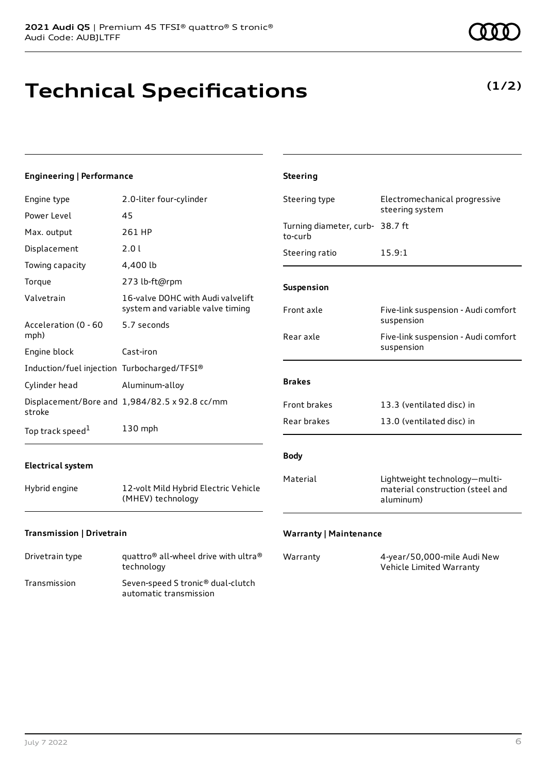# **Technical Specifications**

**(1/2)**

| <b>Engineering   Performance</b>            |                                                                       | <b>Steering</b>                            |                                                                                |
|---------------------------------------------|-----------------------------------------------------------------------|--------------------------------------------|--------------------------------------------------------------------------------|
| Engine type                                 | 2.0-liter four-cylinder                                               | Steering type                              | Electromechanical progressive                                                  |
| Power Level                                 | 45                                                                    |                                            | steering system                                                                |
| Max. output                                 | 261 HP                                                                | Turning diameter, curb- 38.7 ft<br>to-curb |                                                                                |
| Displacement                                | 2.01                                                                  | Steering ratio                             | 15.9:1                                                                         |
| Towing capacity                             | 4,400 lb                                                              |                                            |                                                                                |
| Torque                                      | 273 lb-ft@rpm                                                         | Suspension                                 |                                                                                |
| Valvetrain                                  | 16-valve DOHC with Audi valvelift<br>system and variable valve timing | Front axle                                 | Five-link suspension - Audi comfort                                            |
| Acceleration (0 - 60<br>mph)                | 5.7 seconds                                                           | Rear axle                                  | suspension<br>Five-link suspension - Audi comfort                              |
| Engine block                                | Cast-iron                                                             |                                            | suspension                                                                     |
| Induction/fuel injection Turbocharged/TFSI® |                                                                       |                                            |                                                                                |
| Cylinder head                               | Aluminum-alloy                                                        | <b>Brakes</b>                              |                                                                                |
| stroke                                      | Displacement/Bore and 1,984/82.5 x 92.8 cc/mm                         | Front brakes                               | 13.3 (ventilated disc) in                                                      |
| Top track speed <sup>1</sup>                | 130 mph                                                               | Rear brakes                                | 13.0 (ventilated disc) in                                                      |
| <b>Electrical system</b>                    |                                                                       | <b>Body</b>                                |                                                                                |
| Hybrid engine                               | 12-volt Mild Hybrid Electric Vehicle<br>(MHEV) technology             | Material                                   | Lightweight technology-multi-<br>material construction (steel and<br>aluminum) |
| Transmission   Drivetrain                   |                                                                       | <b>Warranty   Maintenance</b>              |                                                                                |

| Drivetrain type | quattro <sup>®</sup> all-wheel drive with ultra <sup>®</sup> |
|-----------------|--------------------------------------------------------------|
|                 | technology                                                   |

| Transmission | Seven-speed S tronic <sup>®</sup> dual-clutch |
|--------------|-----------------------------------------------|
|              | automatic transmission                        |

| Warranty | 4-year/50,000-mile Audi New |
|----------|-----------------------------|
|          | Vehicle Limited Warranty    |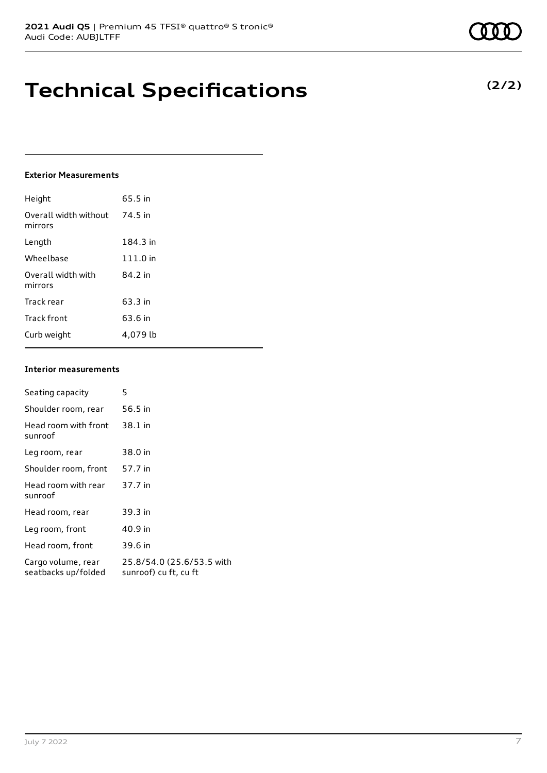# **Technical Specifications**

### **Exterior Measurements**

| Height                           | 65.5 in  |
|----------------------------------|----------|
| Overall width without<br>mirrors | 74.5 in  |
| Length                           | 184.3 in |
| Wheelbase                        | 111.0 in |
| Overall width with<br>mirrors    | 84.2 in  |
| Track rear                       | 63.3 in  |
| Track front                      | 63.6 in  |
| Curb weight                      | 4.079 lb |

### **Interior measurements**

| Seating capacity                          | 5                                                  |
|-------------------------------------------|----------------------------------------------------|
| Shoulder room, rear                       | 56.5 in                                            |
| Head room with front<br>sunroof           | 38.1 in                                            |
| Leg room, rear                            | 38.0 in                                            |
| Shoulder room, front                      | 57.7 in                                            |
| Head room with rear<br>sunroof            | 37.7 in                                            |
| Head room, rear                           | 39.3 in                                            |
| Leg room, front                           | 40.9 in                                            |
| Head room, front                          | 39.6 in                                            |
| Cargo volume, rear<br>seatbacks up/folded | 25.8/54.0 (25.6/53.5 with<br>sunroof) cu ft, cu ft |

**(2/2)**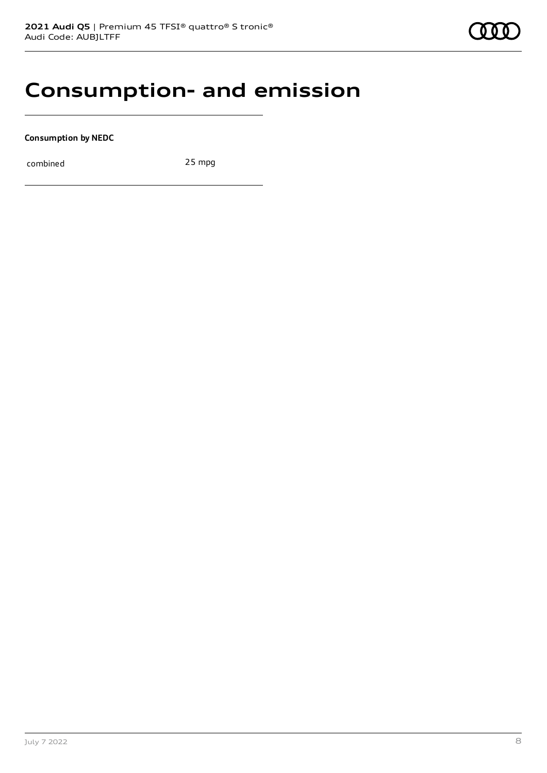# **Consumption- and emission**

**Consumption by NEDC**

combined 25 mpg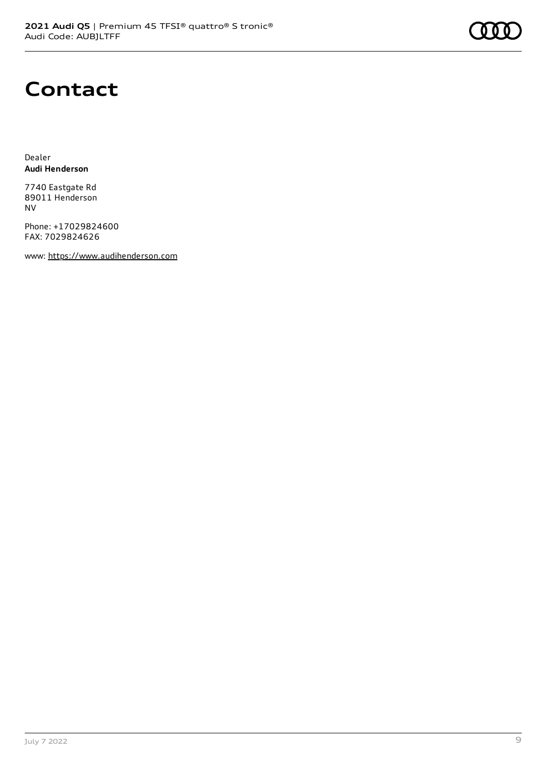

# **Contact**

Dealer **Audi Henderson**

7740 Eastgate Rd 89011 Henderson NV

Phone: +17029824600 FAX: 7029824626

www: [https://www.audihenderson.com](https://www.audihenderson.com/)